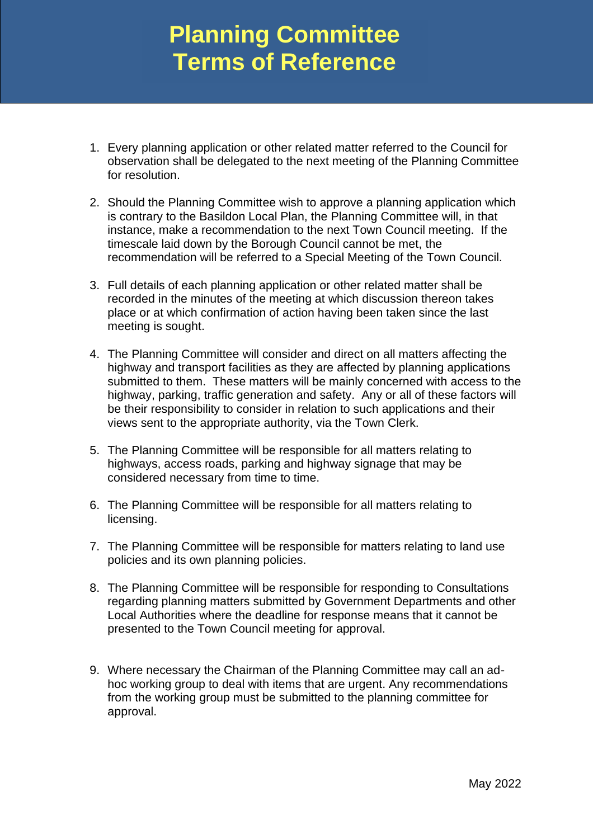## **Planning Committee Terms of Reference**

- 1. Every planning application or other related matter referred to the Council for observation shall be delegated to the next meeting of the Planning Committee for resolution.
- 2. Should the Planning Committee wish to approve a planning application which is contrary to the Basildon Local Plan, the Planning Committee will, in that instance, make a recommendation to the next Town Council meeting. If the timescale laid down by the Borough Council cannot be met, the recommendation will be referred to a Special Meeting of the Town Council.
- 3. Full details of each planning application or other related matter shall be recorded in the minutes of the meeting at which discussion thereon takes place or at which confirmation of action having been taken since the last meeting is sought.
- 4. The Planning Committee will consider and direct on all matters affecting the highway and transport facilities as they are affected by planning applications submitted to them. These matters will be mainly concerned with access to the highway, parking, traffic generation and safety. Any or all of these factors will be their responsibility to consider in relation to such applications and their views sent to the appropriate authority, via the Town Clerk.
- 5. The Planning Committee will be responsible for all matters relating to highways, access roads, parking and highway signage that may be considered necessary from time to time.
- 6. The Planning Committee will be responsible for all matters relating to licensing.
- 7. The Planning Committee will be responsible for matters relating to land use policies and its own planning policies.
- 8. The Planning Committee will be responsible for responding to Consultations regarding planning matters submitted by Government Departments and other Local Authorities where the deadline for response means that it cannot be presented to the Town Council meeting for approval.
- 9. Where necessary the Chairman of the Planning Committee may call an adhoc working group to deal with items that are urgent. Any recommendations from the working group must be submitted to the planning committee for approval.